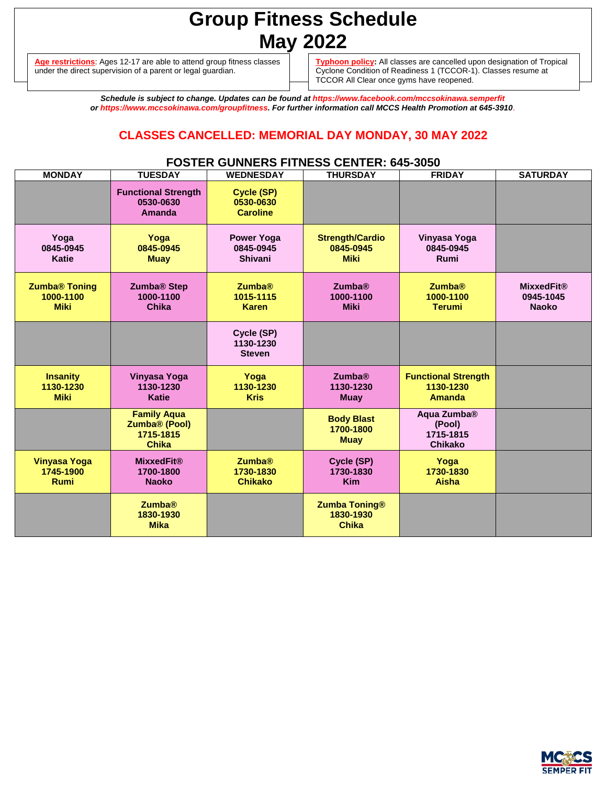# **Group Fitness Schedule May 2022**

**Age restrictions**: Ages 12-17 are able to attend group fitness classes under the direct supervision of a parent or legal guardian.

**Typhoon policy:** All classes are cancelled upon designation of Tropical Cyclone Condition of Readiness 1 (TCCOR-1). Classes resume at TCCOR All Clear once gyms have reopened.

*Schedule is subject to change. Updates can be found at https://www.facebook.com/mccsokinawa.semperfit or https://www.mccsokinawa.com/groupfitness. For further information call MCCS Health Promotion at 645-3910*.

## **CLASSES CANCELLED: MEMORIAL DAY MONDAY, 30 MAY 2022**

### **FOSTER GUNNERS FITNESS CENTER: 645-3050**

| <b>MONDAY</b>                                    | <b>TUESDAY</b>                                                               | <b>WEDNESDAY</b>                                 | <b>THURSDAY</b>                                    | <b>FRIDAY</b>                                                    | <b>SATURDAY</b>                                |
|--------------------------------------------------|------------------------------------------------------------------------------|--------------------------------------------------|----------------------------------------------------|------------------------------------------------------------------|------------------------------------------------|
|                                                  | <b>Functional Strength</b><br>0530-0630<br>Amanda                            | Cycle (SP)<br>0530-0630<br><b>Caroline</b>       |                                                    |                                                                  |                                                |
| Yoga<br>0845-0945<br><b>Katie</b>                | Yoga<br>0845-0945<br><b>Muay</b>                                             | <b>Power Yoga</b><br>0845-0945<br><b>Shivani</b> | <b>Strength/Cardio</b><br>0845-0945<br><b>Miki</b> | Vinyasa Yoga<br>0845-0945<br>Rumi                                |                                                |
| <b>Zumba® Toning</b><br>1000-1100<br><b>Miki</b> | Zumba <sup>®</sup> Step<br>1000-1100<br><b>Chika</b>                         | <b>Zumba®</b><br>1015-1115<br><b>Karen</b>       | <b>Zumba®</b><br>1000-1100<br><b>Miki</b>          | <b>Zumba®</b><br>1000-1100<br><b>Terumi</b>                      | <b>MixxedFit®</b><br>0945-1045<br><b>Naoko</b> |
|                                                  |                                                                              | Cycle (SP)<br>1130-1230<br><b>Steven</b>         |                                                    |                                                                  |                                                |
| <b>Insanity</b><br>1130-1230<br><b>Miki</b>      | <b>Vinyasa Yoga</b><br>1130-1230<br><b>Katie</b>                             | Yoga<br>1130-1230<br><b>Kris</b>                 | <b>Zumba®</b><br>1130-1230<br><b>Muay</b>          | <b>Functional Strength</b><br>1130-1230<br>Amanda                |                                                |
|                                                  | <b>Family Aqua</b><br>Zumba <sup>®</sup> (Pool)<br>1715-1815<br><b>Chika</b> |                                                  | <b>Body Blast</b><br>1700-1800<br><b>Muay</b>      | Aqua Zumba <sup>®</sup><br>(Pool)<br>1715-1815<br><b>Chikako</b> |                                                |
| <b>Vinyasa Yoga</b><br>1745-1900<br><b>Rumi</b>  | <b>MixxedFit®</b><br>1700-1800<br><b>Naoko</b>                               | <b>Zumba®</b><br>1730-1830<br><b>Chikako</b>     | Cycle (SP)<br>1730-1830<br><b>Kim</b>              | Yoga<br>1730-1830<br>Aisha                                       |                                                |
|                                                  | <b>Zumba®</b><br>1830-1930<br><b>Mika</b>                                    |                                                  | <b>Zumba Toning®</b><br>1830-1930<br><b>Chika</b>  |                                                                  |                                                |